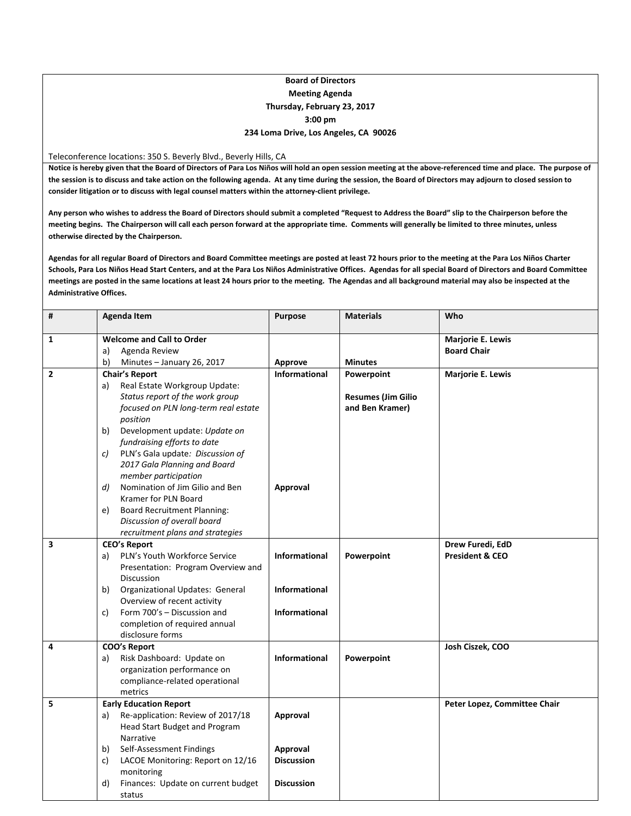## **Board of Directors Meeting Agenda Thursday, February 23, 2017 3:00 pm 234 Loma Drive, Los Angeles, CA 90026**

Teleconference locations: 350 S. Beverly Blvd., Beverly Hills, CA

Notice is hereby given that the Board of Directors of Para Los Niños will hold an open session meeting at the above-referenced time and place. The purpose of the session is to discuss and take action on the following agenda. At any time during the session, the Board of Directors may adjourn to closed session to **consider litigation or to discuss with legal counsel matters within the attorney‐client privilege.**

Any person who wishes to address the Board of Directors should submit a completed "Request to Address the Board" slip to the Chairperson before the meeting begins. The Chairperson will call each person forward at the appropriate time. Comments will generally be limited to three minutes, unless **otherwise directed by the Chairperson.**

Agendas for all regular Board of Directors and Board Committee meetings are posted at least 72 hours prior to the meeting at the Para Los Niños Charter Schools, Para Los Niños Head Start Centers, and at the Para Los Niños Administrative Offices. Agendas for all special Board of Directors and Board Committee meetings are posted in the same locations at least 24 hours prior to the meeting. The Agendas and all background material may also be inspected at the **Administrative Offices.**

| #              | <b>Agenda Item</b>                               | Purpose              | <b>Materials</b>          | Who                          |
|----------------|--------------------------------------------------|----------------------|---------------------------|------------------------------|
| 1              | <b>Welcome and Call to Order</b>                 |                      |                           | Marjorie E. Lewis            |
|                | Agenda Review<br>a)                              |                      |                           | <b>Board Chair</b>           |
|                | b)<br>Minutes - January 26, 2017                 | Approve              | <b>Minutes</b>            |                              |
| $\overline{2}$ | <b>Chair's Report</b>                            | <b>Informational</b> | Powerpoint                | Marjorie E. Lewis            |
|                | Real Estate Workgroup Update:<br>a)              |                      |                           |                              |
|                | Status report of the work group                  |                      | <b>Resumes (Jim Gilio</b> |                              |
|                | focused on PLN long-term real estate             |                      | and Ben Kramer)           |                              |
|                | position                                         |                      |                           |                              |
|                | Development update: Update on<br>b)              |                      |                           |                              |
|                | fundraising efforts to date                      |                      |                           |                              |
|                | PLN's Gala update: Discussion of<br>C)           |                      |                           |                              |
|                | 2017 Gala Planning and Board                     |                      |                           |                              |
|                | member participation                             |                      |                           |                              |
|                | Nomination of Jim Gilio and Ben<br>d             | Approval             |                           |                              |
|                | Kramer for PLN Board                             |                      |                           |                              |
|                | <b>Board Recruitment Planning:</b><br>e)         |                      |                           |                              |
|                | Discussion of overall board                      |                      |                           |                              |
|                | recruitment plans and strategies                 |                      |                           |                              |
| 3              | <b>CEO's Report</b>                              |                      |                           | Drew Furedi, EdD             |
|                | PLN's Youth Workforce Service<br>a)              | Informational        | Powerpoint                | <b>President &amp; CEO</b>   |
|                | Presentation: Program Overview and<br>Discussion |                      |                           |                              |
|                | <b>Organizational Updates: General</b><br>b)     | <b>Informational</b> |                           |                              |
|                | Overview of recent activity                      |                      |                           |                              |
|                | Form 700's - Discussion and<br>c)                | <b>Informational</b> |                           |                              |
|                | completion of required annual                    |                      |                           |                              |
|                | disclosure forms                                 |                      |                           |                              |
| 4              | <b>COO's Report</b>                              |                      |                           | Josh Ciszek, COO             |
|                | Risk Dashboard: Update on<br>a)                  | <b>Informational</b> | Powerpoint                |                              |
|                | organization performance on                      |                      |                           |                              |
|                | compliance-related operational                   |                      |                           |                              |
|                | metrics                                          |                      |                           |                              |
| 5              | <b>Early Education Report</b>                    |                      |                           | Peter Lopez, Committee Chair |
|                | Re-application: Review of 2017/18<br>a)          | Approval             |                           |                              |
|                | Head Start Budget and Program                    |                      |                           |                              |
|                | Narrative                                        |                      |                           |                              |
|                | Self-Assessment Findings<br>b)                   | Approval             |                           |                              |
|                | LACOE Monitoring: Report on 12/16<br>C)          | <b>Discussion</b>    |                           |                              |
|                | monitoring                                       |                      |                           |                              |
|                | Finances: Update on current budget<br>d)         | <b>Discussion</b>    |                           |                              |
|                | status                                           |                      |                           |                              |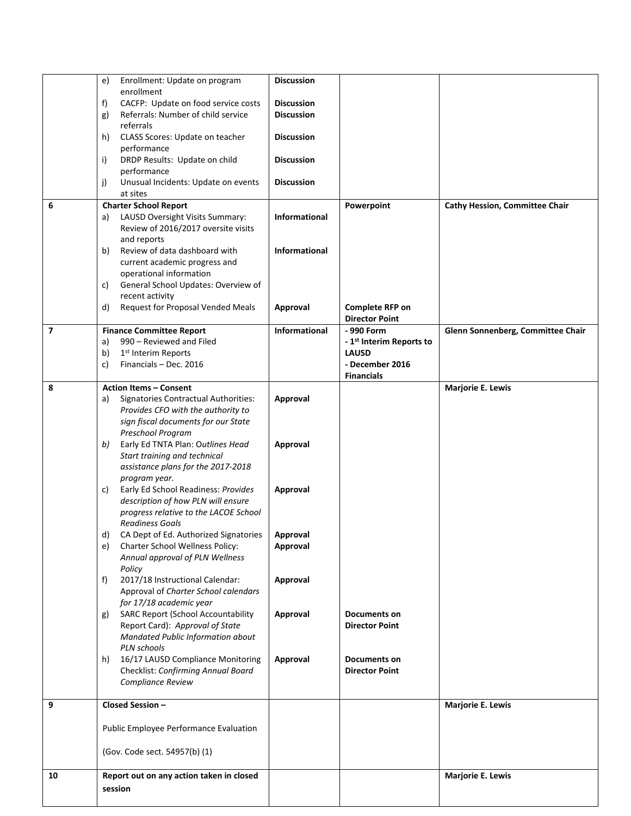|                | e) | Enrollment: Update on program                                               | <b>Discussion</b>    |                                      |                                       |
|----------------|----|-----------------------------------------------------------------------------|----------------------|--------------------------------------|---------------------------------------|
|                |    | enrollment                                                                  |                      |                                      |                                       |
|                | f) | CACFP: Update on food service costs                                         | <b>Discussion</b>    |                                      |                                       |
|                | g) | Referrals: Number of child service                                          | <b>Discussion</b>    |                                      |                                       |
|                |    | referrals                                                                   |                      |                                      |                                       |
|                | h) | CLASS Scores: Update on teacher                                             | <b>Discussion</b>    |                                      |                                       |
|                | i) | performance<br>DRDP Results: Update on child                                | <b>Discussion</b>    |                                      |                                       |
|                |    | performance                                                                 |                      |                                      |                                       |
|                | j) | Unusual Incidents: Update on events                                         | <b>Discussion</b>    |                                      |                                       |
|                |    | at sites                                                                    |                      |                                      |                                       |
| 6              |    | <b>Charter School Report</b>                                                |                      | Powerpoint                           | <b>Cathy Hession, Committee Chair</b> |
|                | a) | LAUSD Oversight Visits Summary:                                             | Informational        |                                      |                                       |
|                |    | Review of 2016/2017 oversite visits                                         |                      |                                      |                                       |
|                |    | and reports                                                                 |                      |                                      |                                       |
|                | b) | Review of data dashboard with                                               | Informational        |                                      |                                       |
|                |    | current academic progress and                                               |                      |                                      |                                       |
|                |    | operational information                                                     |                      |                                      |                                       |
|                | C) | General School Updates: Overview of                                         |                      |                                      |                                       |
|                |    | recent activity                                                             |                      |                                      |                                       |
|                | d) | Request for Proposal Vended Meals                                           | Approval             | <b>Complete RFP on</b>               |                                       |
| $\overline{7}$ |    |                                                                             |                      | <b>Director Point</b><br>- 990 Form  | Glenn Sonnenberg, Committee Chair     |
|                | a) | <b>Finance Committee Report</b><br>990 - Reviewed and Filed                 | <b>Informational</b> | - 1 <sup>st</sup> Interim Reports to |                                       |
|                | b) | 1 <sup>st</sup> Interim Reports                                             |                      | <b>LAUSD</b>                         |                                       |
|                | c) | Financials - Dec. 2016                                                      |                      | - December 2016                      |                                       |
|                |    |                                                                             |                      | <b>Financials</b>                    |                                       |
| 8              |    | <b>Action Items - Consent</b>                                               |                      |                                      | Marjorie E. Lewis                     |
|                | a) | Signatories Contractual Authorities:                                        | Approval             |                                      |                                       |
|                |    | Provides CFO with the authority to                                          |                      |                                      |                                       |
|                |    | sign fiscal documents for our State                                         |                      |                                      |                                       |
|                |    | Preschool Program                                                           |                      |                                      |                                       |
|                | b) | Early Ed TNTA Plan: Outlines Head                                           | Approval             |                                      |                                       |
|                |    | Start training and technical                                                |                      |                                      |                                       |
|                |    | assistance plans for the 2017-2018                                          |                      |                                      |                                       |
|                |    | program year.                                                               |                      |                                      |                                       |
|                | C) | Early Ed School Readiness: Provides                                         | Approval             |                                      |                                       |
|                |    | description of how PLN will ensure<br>progress relative to the LACOE School |                      |                                      |                                       |
|                |    | <b>Readiness Goals</b>                                                      |                      |                                      |                                       |
|                | d) | CA Dept of Ed. Authorized Signatories   Approval                            |                      |                                      |                                       |
|                | e) | Charter School Wellness Policy:                                             | Approval             |                                      |                                       |
|                |    | Annual approval of PLN Wellness                                             |                      |                                      |                                       |
|                |    | Policy                                                                      |                      |                                      |                                       |
|                | f) | 2017/18 Instructional Calendar:                                             | Approval             |                                      |                                       |
|                |    | Approval of Charter School calendars                                        |                      |                                      |                                       |
|                |    | for 17/18 academic year                                                     |                      |                                      |                                       |
|                | g) | <b>SARC Report (School Accountability</b>                                   | Approval             | Documents on                         |                                       |
|                |    | Report Card): Approval of State                                             |                      | <b>Director Point</b>                |                                       |
|                |    | Mandated Public Information about                                           |                      |                                      |                                       |
|                |    | PLN schools                                                                 |                      |                                      |                                       |
|                | h) | 16/17 LAUSD Compliance Monitoring                                           | Approval             | Documents on                         |                                       |
|                |    | Checklist: Confirming Annual Board                                          |                      | <b>Director Point</b>                |                                       |
|                |    | Compliance Review                                                           |                      |                                      |                                       |
| 9              |    | Closed Session-                                                             |                      |                                      | Marjorie E. Lewis                     |
|                |    |                                                                             |                      |                                      |                                       |
|                |    | Public Employee Performance Evaluation                                      |                      |                                      |                                       |
|                |    |                                                                             |                      |                                      |                                       |
|                |    | (Gov. Code sect. 54957(b) (1)                                               |                      |                                      |                                       |
| 10             |    | Report out on any action taken in closed                                    |                      |                                      | <b>Marjorie E. Lewis</b>              |
|                |    | session                                                                     |                      |                                      |                                       |
|                |    |                                                                             |                      |                                      |                                       |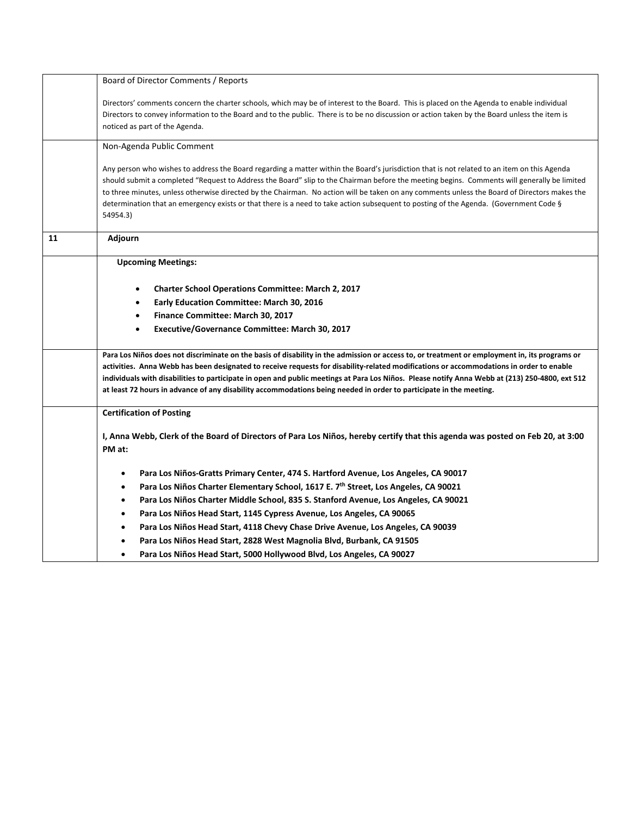|    | Board of Director Comments / Reports                                                                                                                                                                                                                                                                                                                                                                                                                                                                                                                                                            |  |  |  |  |  |
|----|-------------------------------------------------------------------------------------------------------------------------------------------------------------------------------------------------------------------------------------------------------------------------------------------------------------------------------------------------------------------------------------------------------------------------------------------------------------------------------------------------------------------------------------------------------------------------------------------------|--|--|--|--|--|
|    | Directors' comments concern the charter schools, which may be of interest to the Board. This is placed on the Agenda to enable individual<br>Directors to convey information to the Board and to the public. There is to be no discussion or action taken by the Board unless the item is<br>noticed as part of the Agenda.                                                                                                                                                                                                                                                                     |  |  |  |  |  |
|    | Non-Agenda Public Comment                                                                                                                                                                                                                                                                                                                                                                                                                                                                                                                                                                       |  |  |  |  |  |
|    | Any person who wishes to address the Board regarding a matter within the Board's jurisdiction that is not related to an item on this Agenda<br>should submit a completed "Request to Address the Board" slip to the Chairman before the meeting begins. Comments will generally be limited<br>to three minutes, unless otherwise directed by the Chairman. No action will be taken on any comments unless the Board of Directors makes the<br>determination that an emergency exists or that there is a need to take action subsequent to posting of the Agenda. (Government Code §<br>54954.3) |  |  |  |  |  |
| 11 | Adjourn                                                                                                                                                                                                                                                                                                                                                                                                                                                                                                                                                                                         |  |  |  |  |  |
|    | <b>Upcoming Meetings:</b>                                                                                                                                                                                                                                                                                                                                                                                                                                                                                                                                                                       |  |  |  |  |  |
|    | <b>Charter School Operations Committee: March 2, 2017</b>                                                                                                                                                                                                                                                                                                                                                                                                                                                                                                                                       |  |  |  |  |  |
|    | Early Education Committee: March 30, 2016                                                                                                                                                                                                                                                                                                                                                                                                                                                                                                                                                       |  |  |  |  |  |
|    | Finance Committee: March 30, 2017                                                                                                                                                                                                                                                                                                                                                                                                                                                                                                                                                               |  |  |  |  |  |
|    | Executive/Governance Committee: March 30, 2017<br>$\bullet$                                                                                                                                                                                                                                                                                                                                                                                                                                                                                                                                     |  |  |  |  |  |
|    |                                                                                                                                                                                                                                                                                                                                                                                                                                                                                                                                                                                                 |  |  |  |  |  |
|    | Para Los Niños does not discriminate on the basis of disability in the admission or access to, or treatment or employment in, its programs or<br>activities. Anna Webb has been designated to receive requests for disability-related modifications or accommodations in order to enable<br>individuals with disabilities to participate in open and public meetings at Para Los Niños. Please notify Anna Webb at (213) 250-4800, ext 512<br>at least 72 hours in advance of any disability accommodations being needed in order to participate in the meeting.                                |  |  |  |  |  |
|    | <b>Certification of Posting</b>                                                                                                                                                                                                                                                                                                                                                                                                                                                                                                                                                                 |  |  |  |  |  |
|    | I, Anna Webb, Clerk of the Board of Directors of Para Los Niños, hereby certify that this agenda was posted on Feb 20, at 3:00<br>PM at:                                                                                                                                                                                                                                                                                                                                                                                                                                                        |  |  |  |  |  |
|    | Para Los Niños-Gratts Primary Center, 474 S. Hartford Avenue, Los Angeles, CA 90017<br>٠                                                                                                                                                                                                                                                                                                                                                                                                                                                                                                        |  |  |  |  |  |
|    | Para Los Niños Charter Elementary School, 1617 E. 7 <sup>th</sup> Street, Los Angeles, CA 90021<br>$\bullet$                                                                                                                                                                                                                                                                                                                                                                                                                                                                                    |  |  |  |  |  |
|    | Para Los Niños Charter Middle School, 835 S. Stanford Avenue, Los Angeles, CA 90021<br>$\bullet$                                                                                                                                                                                                                                                                                                                                                                                                                                                                                                |  |  |  |  |  |
|    | Para Los Niños Head Start, 1145 Cypress Avenue, Los Angeles, CA 90065                                                                                                                                                                                                                                                                                                                                                                                                                                                                                                                           |  |  |  |  |  |
|    | Para Los Niños Head Start, 4118 Chevy Chase Drive Avenue, Los Angeles, CA 90039                                                                                                                                                                                                                                                                                                                                                                                                                                                                                                                 |  |  |  |  |  |
|    | Para Los Niños Head Start, 2828 West Magnolia Blvd, Burbank, CA 91505                                                                                                                                                                                                                                                                                                                                                                                                                                                                                                                           |  |  |  |  |  |
|    | Para Los Niños Head Start, 5000 Hollywood Blvd, Los Angeles, CA 90027                                                                                                                                                                                                                                                                                                                                                                                                                                                                                                                           |  |  |  |  |  |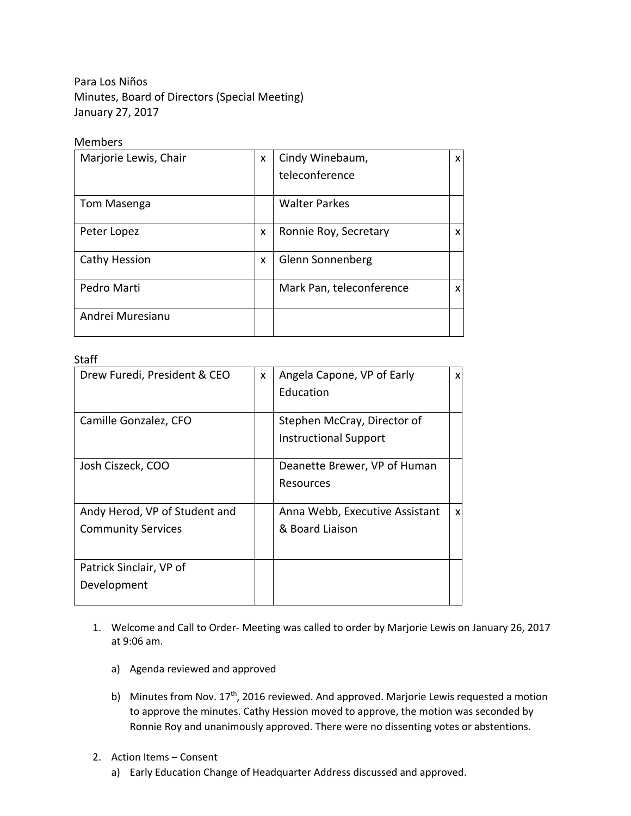Para Los Niños Minutes, Board of Directors (Special Meeting) January 27, 2017

## Members

| Marjorie Lewis, Chair | X | Cindy Winebaum,          | X |
|-----------------------|---|--------------------------|---|
|                       |   | teleconference           |   |
| Tom Masenga           |   | <b>Walter Parkes</b>     |   |
| Peter Lopez           | X | Ronnie Roy, Secretary    | X |
| Cathy Hession         | X | Glenn Sonnenberg         |   |
| Pedro Marti           |   | Mark Pan, teleconference | x |
| Andrei Muresianu      |   |                          |   |

## Staff

| Drew Furedi, President & CEO  | X | Angela Capone, VP of Early     | X |
|-------------------------------|---|--------------------------------|---|
|                               |   | Education                      |   |
|                               |   |                                |   |
| Camille Gonzalez, CFO         |   | Stephen McCray, Director of    |   |
|                               |   | <b>Instructional Support</b>   |   |
|                               |   |                                |   |
| Josh Ciszeck, COO             |   | Deanette Brewer, VP of Human   |   |
|                               |   | Resources                      |   |
|                               |   |                                |   |
| Andy Herod, VP of Student and |   | Anna Webb, Executive Assistant | X |
| <b>Community Services</b>     |   | & Board Liaison                |   |
|                               |   |                                |   |
|                               |   |                                |   |
| Patrick Sinclair, VP of       |   |                                |   |
| Development                   |   |                                |   |
|                               |   |                                |   |

- 1. Welcome and Call to Order‐ Meeting was called to order by Marjorie Lewis on January 26, 2017 at 9:06 am.
	- a) Agenda reviewed and approved
	- b) Minutes from Nov.  $17<sup>th</sup>$ , 2016 reviewed. And approved. Marjorie Lewis requested a motion to approve the minutes. Cathy Hession moved to approve, the motion was seconded by Ronnie Roy and unanimously approved. There were no dissenting votes or abstentions.
- 2. Action Items Consent
	- a) Early Education Change of Headquarter Address discussed and approved.